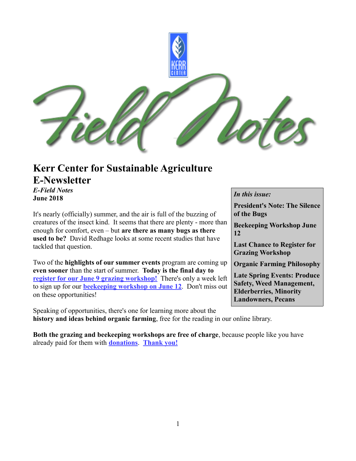

### **Kerr Center for Sustainable Agriculture E-Newsletter** *E-Field Notes*

**June 2018**

It's nearly (officially) summer, and the air is full of the buzzing of creatures of the insect kind. It seems that there are plenty - more than enough for comfort, even – but **are there as many bugs as there used to be?** David Redhage looks at some recent studies that have tackled that question.

Two of the **highlights of our summer events** program are coming up **even sooner** than the start of summer. **Today is the final day to [register for our June 9 grazing workshop!](http://kerrcenter.com/event/grazing-workshop/)** There's only a week left to sign up for our **[beekeeping workshop on June 12](http://kerrcenter.com/event/workshop-beekeeping/)**. Don't miss out on these opportunities!

Speaking of opportunities, there's one for learning more about the **history and ideas behind organic farming**, free for the reading in our online library.

**Both the grazing and beekeeping workshops are free of charge**, because people like you have already paid for them with **[donations](http://kerrcenter.com/donate)**. **[Thank you!](http://kerrcenter.com/about/donate/thanks-donors/)**

#### *In this issue:*

**President's Note: The Silence of the Bugs**

**Beekeeping Workshop June 12**

**Last Chance to Register for Grazing Workshop**

**Organic Farming Philosophy**

**Late Spring Events: Produce Safety, Weed Management, Elderberries, Minority Landowners, Pecans**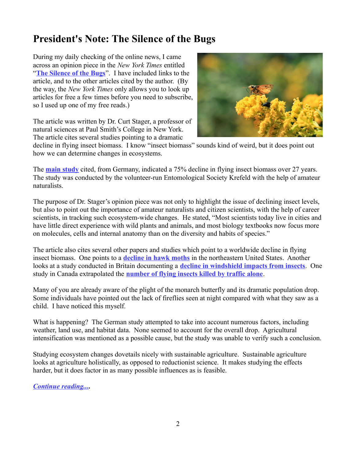## **President's Note: The Silence of the Bugs**

During my daily checking of the online news, I came across an opinion piece in the *New York Times* entitled "**[The Silence of the Bugs](https://www.nytimes.com/2018/05/26/opinion/sunday/insects-bugs-naturalists-scientists.html)**". I have included links to the article, and to the other articles cited by the author. (By the way, the *New York Times* only allows you to look up articles for free a few times before you need to subscribe, so I used up one of my free reads.)

The article was written by Dr. Curt Stager, a professor of natural sciences at Paul Smith's College in New York. The article cites several studies pointing to a dramatic



decline in flying insect biomass. I know "insect biomass" sounds kind of weird, but it does point out how we can determine changes in ecosystems.

The **[main study](http://journals.plos.org/plosone/article?id=10.1371/journal.pone.0185809)** cited, from Germany, indicated a 75% decline in flying insect biomass over 27 years. The study was conducted by the volunteer-run Entomological Society Krefeld with the help of amateur naturalists.

The purpose of Dr. Stager's opinion piece was not only to highlight the issue of declining insect levels, but also to point out the importance of amateur naturalists and citizen scientists, with the help of career scientists, in tracking such ecosystem-wide changes. He stated, "Most scientists today live in cities and have little direct experience with wild plants and animals, and most biology textbooks now focus more on molecules, cells and internal anatomy than on the diversity and habits of species."

The article also cites several other papers and studies which point to a worldwide decline in flying insect biomass. One points to a **[decline in hawk moths](http://journals.plos.org/plosone/article?id=10.1371/journal.pone.0185683)** in the northeastern United States. Another looks at a study conducted in Britain documenting a **[decline in windshield impacts from insects](https://www.telegraph.co.uk/science/2017/08/26/windscreen-phenomenon-car-no-longer-covered-dead-insects/)**. One study in Canada extrapolated the **[number of flying insects killed by traffic alone](https://link.springer.com/article/10.1007/s10841-015-9808-z)**.

Many of you are already aware of the plight of the monarch butterfly and its dramatic population drop. Some individuals have pointed out the lack of fireflies seen at night compared with what they saw as a child. I have noticed this myself.

What is happening? The German study attempted to take into account numerous factors, including weather, land use, and habitat data. None seemed to account for the overall drop. Agricultural intensification was mentioned as a possible cause, but the study was unable to verify such a conclusion.

Studying ecosystem changes dovetails nicely with sustainable agriculture. Sustainable agriculture looks at agriculture holistically, as opposed to reductionist science. It makes studying the effects harder, but it does factor in as many possible influences as is feasible.

*[Continue reading....](http://kerrcenter.com/presidents-note-silence-bugs/)*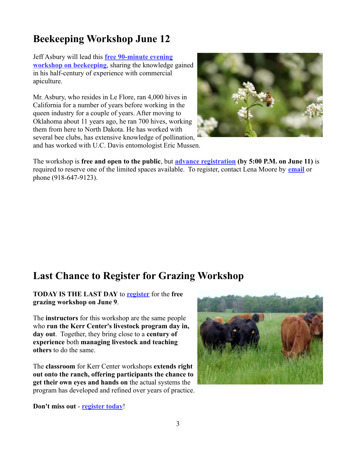## **Beekeeping Workshop June 12**

Jeff Asbury will lead this **[free 90-minute evening](http://kerrcenter.com/event/workshop-beekeeping/) [workshop on beekeeping](http://kerrcenter.com/event/workshop-beekeeping/)**, sharing the knowledge gained in his half-century of experience with commercial apiculture.

Mr. Asbury, who resides in Le Flore, ran 4,000 hives in California for a number of years before working in the queen industry for a couple of years. After moving to Oklahoma about 11 years ago, he ran 700 hives, working them from here to North Dakota. He has worked with several bee clubs, has extensive knowledge of pollination, and has worked with U.C. Davis entomologist Eric Mussen.



The workshop is **free and open to the public**, but **[advance registration](http://kerrcenter.com/event/workshop-beekeeping/) (by 5:00 P.M. on June 11)** is required to reserve one of the limited spaces available. To register, contact Lena Moore by **[email](mailto:mailbox@kerrcenter.com)** or phone (918-647-9123).

### **Last Chance to Register for Grazing Workshop**

**TODAY IS THE LAST DAY** to **[register](http://kerrcenter.com/event/grazing-workshop/)** for the **free grazing workshop on June 9**.

The **instructors** for this workshop are the same people who **run the Kerr Center's livestock program day in, day out**. Together, they bring close to a **century of experience** both **managing livestock and teaching others** to do the same.

The **classroom** for Kerr Center workshops **extends right out onto the ranch, offering participants the chance to get their own eyes and hands on** the actual systems the program has developed and refined over years of practice.



**Don't miss out** - **[register today](http://kerrcenter.com/event/grazing-workshop/)**!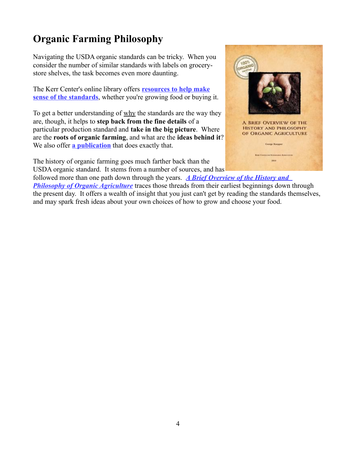# **Organic Farming Philosophy**

Navigating the USDA organic standards can be tricky. When you consider the number of similar standards with labels on grocerystore shelves, the task becomes even more daunting.

The Kerr Center's online library offers **[resources to help make](http://kerrcenter.com/tag/organic-certification-2/) [sense of the standards](http://kerrcenter.com/tag/organic-certification-2/)**, whether you're growing food or buying it.

To get a better understanding of why the standards are the way they are, though, it helps to **step back from the fine details** of a particular production standard and **take in the big picture**. Where are the **roots of organic farming**, and what are the **ideas behind it**? We also offer **[a publication](http://kerrcenter.com/publication/brief-overview-history-philosophy-organic-agriculture/)** that does exactly that.

The history of organic farming goes much farther back than the USDA organic standard. It stems from a number of sources, and has



followed more than one path down through the years. *[A Brief Overview of the History and](http://kerrcenter.com/publication/brief-overview-history-philosophy-organic-agriculture/)*  **[Philosophy of Organic Agriculture](http://kerrcenter.com/publication/brief-overview-history-philosophy-organic-agriculture/)** traces those threads from their earliest beginnings down through the present day. It offers a wealth of insight that you just can't get by reading the standards themselves, and may spark fresh ideas about your own choices of how to grow and choose your food.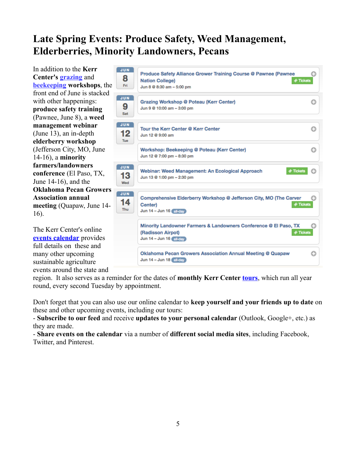## **Late Spring Events: Produce Safety, Weed Management, Elderberries, Minority Landowners, Pecans**

In addition to the **Kerr Center's [grazing](http://kerrcenter.com/event/grazing-workshop/)** and **[beekeeping](http://kerrcenter.com/event/workshop-beekeeping/) workshops**, the front end of June is stacked with other happenings: **produce safety training** (Pawnee, June 8), a **weed management webinar** (June 13), an in-depth **elderberry workshop** (Jefferson City, MO, June 14-16), a **minority farmers/landowners conference** (El Paso, TX, June 14-16), and the **Oklahoma Pecan Growers Association annual meeting** (Quapaw, June 14- 16).

The Kerr Center's online **[events calendar](http://kerrcenter.com/education-training/news-and-events/events/)** provides full details on these and many other upcoming sustainable agriculture events around the state and



region. It also serves as a reminder for the dates of **monthly Kerr Center [tours](http://kerrcenter.com/about/visit-tour-the-kerr-center/)**, which run all year round, every second Tuesday by appointment.

Don't forget that you can also use our online calendar to **keep yourself and your friends up to date** on these and other upcoming events, including our tours:

- **Subscribe to our feed** and receive **updates to your personal calendar** (Outlook, Google+, etc.) as they are made.

- **Share events on the calendar** via a number of **different social media sites**, including Facebook, Twitter, and Pinterest.